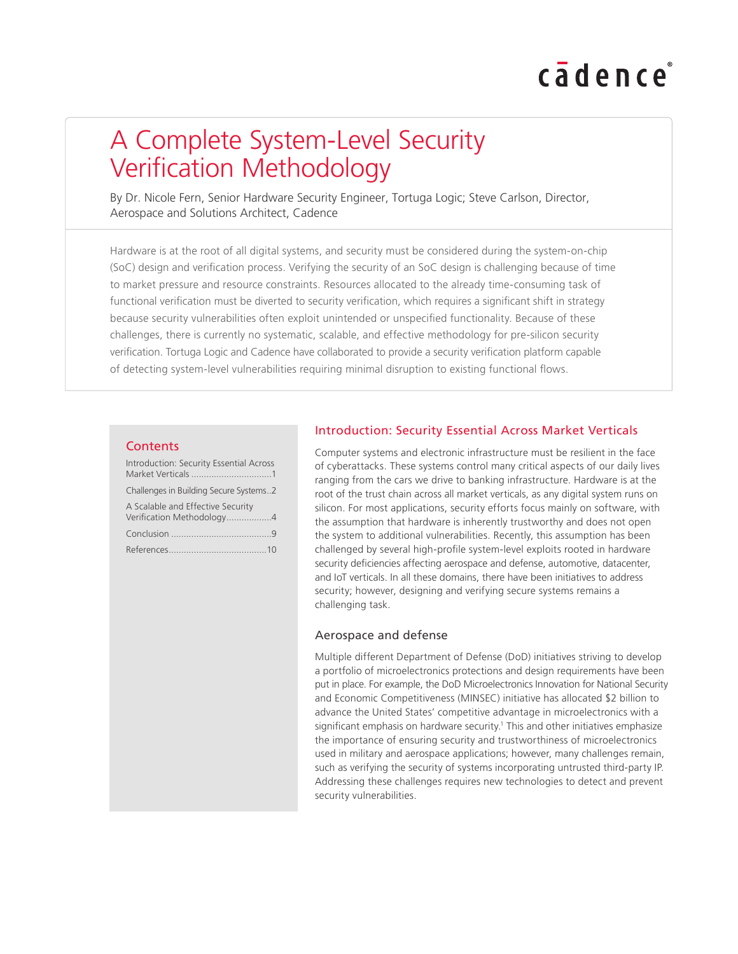# cadence

## A Complete System-Level Security Verification Methodology

By Dr. Nicole Fern, Senior Hardware Security Engineer, Tortuga Logic; Steve Carlson, Director, Aerospace and Solutions Architect, Cadence

Hardware is at the root of all digital systems, and security must be considered during the system-on-chip (SoC) design and verification process. Verifying the security of an SoC design is challenging because of time to market pressure and resource constraints. Resources allocated to the already time-consuming task of functional verification must be diverted to security verification, which requires a significant shift in strategy because security vulnerabilities often exploit unintended or unspecified functionality. Because of these challenges, there is currently no systematic, scalable, and effective methodology for pre-silicon security verification. Tortuga Logic and Cadence have collaborated to provide a security verification platform capable of detecting system-level vulnerabilities requiring minimal disruption to existing functional flows.

#### **Contents**

| Introduction: Security Essential Across                        |
|----------------------------------------------------------------|
| Challenges in Building Secure Systems2                         |
| A Scalable and Effective Security<br>Verification Methodology4 |
|                                                                |
|                                                                |

#### Introduction: Security Essential Across Market Verticals

Computer systems and electronic infrastructure must be resilient in the face of cyberattacks. These systems control many critical aspects of our daily lives ranging from the cars we drive to banking infrastructure. Hardware is at the root of the trust chain across all market verticals, as any digital system runs on silicon. For most applications, security efforts focus mainly on software, with the assumption that hardware is inherently trustworthy and does not open the system to additional vulnerabilities. Recently, this assumption has been challenged by several high-profile system-level exploits rooted in hardware security deficiencies affecting aerospace and defense, automotive, datacenter, and IoT verticals. In all these domains, there have been initiatives to address security; however, designing and verifying secure systems remains a challenging task.

#### Aerospace and defense

Multiple different Department of Defense (DoD) initiatives striving to develop a portfolio of microelectronics protections and design requirements have been put in place. For example, the DoD Microelectronics Innovation for National Security and Economic Competitiveness (MINSEC) initiative has allocated \$2 billion to advance the United States' competitive advantage in microelectronics with a significant emphasis on hardware security.<sup>1</sup> This and other initiatives emphasize the importance of ensuring security and trustworthiness of microelectronics used in military and aerospace applications; however, many challenges remain, such as verifying the security of systems incorporating untrusted third-party IP. Addressing these challenges requires new technologies to detect and prevent security vulnerabilities.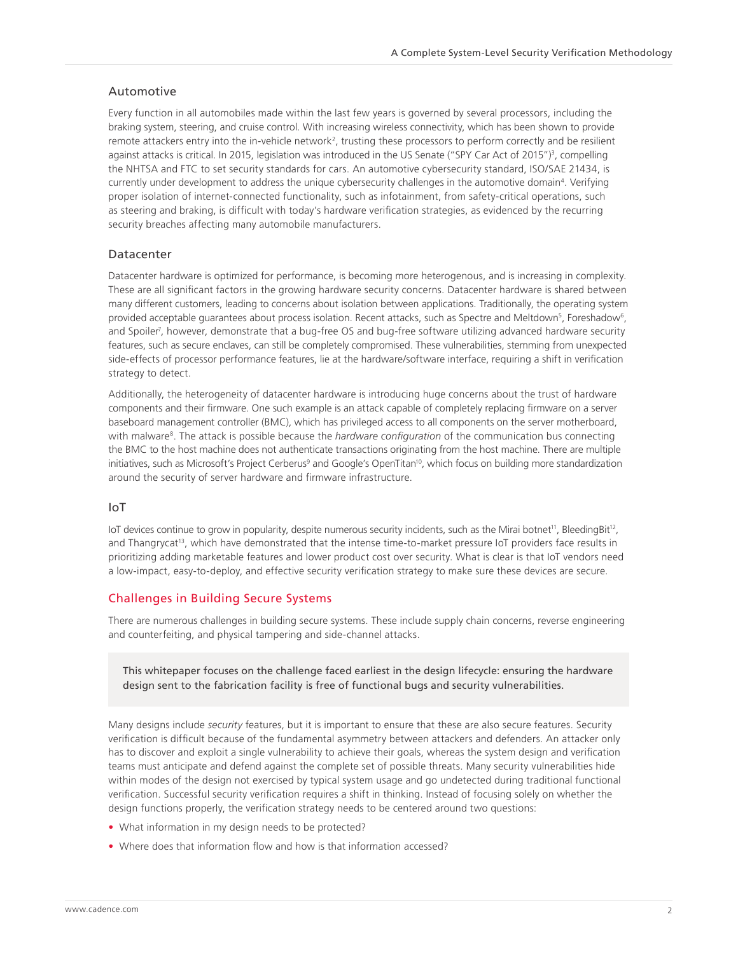#### <span id="page-1-0"></span>Automotive

Every function in all automobiles made within the last few years is governed by several processors, including the braking system, steering, and cruise control. With increasing wireless connectivity, which has been shown to provide remote attackers entry into the in-vehicle network<sup>2</sup>, trusting these processors to perform correctly and be resilient against attacks is critical. In 2015, legislation was introduced in the US Senate ("SPY Car Act of 2015")<sup>3</sup>, compelling the NHTSA and FTC to set security standards for cars. An automotive cybersecurity standard, ISO/SAE 21434, is currently under development to address the unique cybersecurity challenges in the automotive domain<sup>4</sup>. Verifying proper isolation of internet-connected functionality, such as infotainment, from safety-critical operations, such as steering and braking, is difficult with today's hardware verification strategies, as evidenced by the recurring security breaches affecting many automobile manufacturers.

#### Datacenter

Datacenter hardware is optimized for performance, is becoming more heterogenous, and is increasing in complexity. These are all significant factors in the growing hardware security concerns. Datacenter hardware is shared between many different customers, leading to concerns about isolation between applications. Traditionally, the operating system provided acceptable guarantees about process isolation. Recent attacks, such as Spectre and Meltdown<sup>5</sup>, Foreshadow<sup>6</sup>, and Spoiler<sup>7</sup>, however, demonstrate that a bug-free OS and bug-free software utilizing advanced hardware security features, such as secure enclaves, can still be completely compromised. These vulnerabilities, stemming from unexpected side-effects of processor performance features, lie at the hardware/software interface, requiring a shift in verification strategy to detect.

Additionally, the heterogeneity of datacenter hardware is introducing huge concerns about the trust of hardware components and their firmware. One such example is an attack capable of completely replacing firmware on a server baseboard management controller (BMC), which has privileged access to all components on the server motherboard, with malware<sup>8</sup>. The attack is possible because the *hardware configuration* of the communication bus connecting the BMC to the host machine does not authenticate transactions originating from the host machine. There are multiple initiatives, such as Microsoft's Project Cerberus<sup>9</sup> and Google's OpenTitan<sup>10</sup>, which focus on building more standardization around the security of server hardware and firmware infrastructure.

#### IoT

IoT devices continue to grow in popularity, despite numerous security incidents, such as the Mirai botnet<sup>11</sup>, BleedingBit<sup>12</sup>, and Thangrycat<sup>13</sup>, which have demonstrated that the intense time-to-market pressure IoT providers face results in prioritizing adding marketable features and lower product cost over security. What is clear is that IoT vendors need a low-impact, easy-to-deploy, and effective security verification strategy to make sure these devices are secure.

#### Challenges in Building Secure Systems

There are numerous challenges in building secure systems. These include supply chain concerns, reverse engineering and counterfeiting, and physical tampering and side-channel attacks.

This whitepaper focuses on the challenge faced earliest in the design lifecycle: ensuring the hardware design sent to the fabrication facility is free of functional bugs and security vulnerabilities.

Many designs include *security* features, but it is important to ensure that these are also secure features. Security verification is difficult because of the fundamental asymmetry between attackers and defenders. An attacker only has to discover and exploit a single vulnerability to achieve their goals, whereas the system design and verification teams must anticipate and defend against the complete set of possible threats. Many security vulnerabilities hide within modes of the design not exercised by typical system usage and go undetected during traditional functional verification. Successful security verification requires a shift in thinking. Instead of focusing solely on whether the design functions properly, the verification strategy needs to be centered around two questions:

- What information in my design needs to be protected?
- Where does that information flow and how is that information accessed?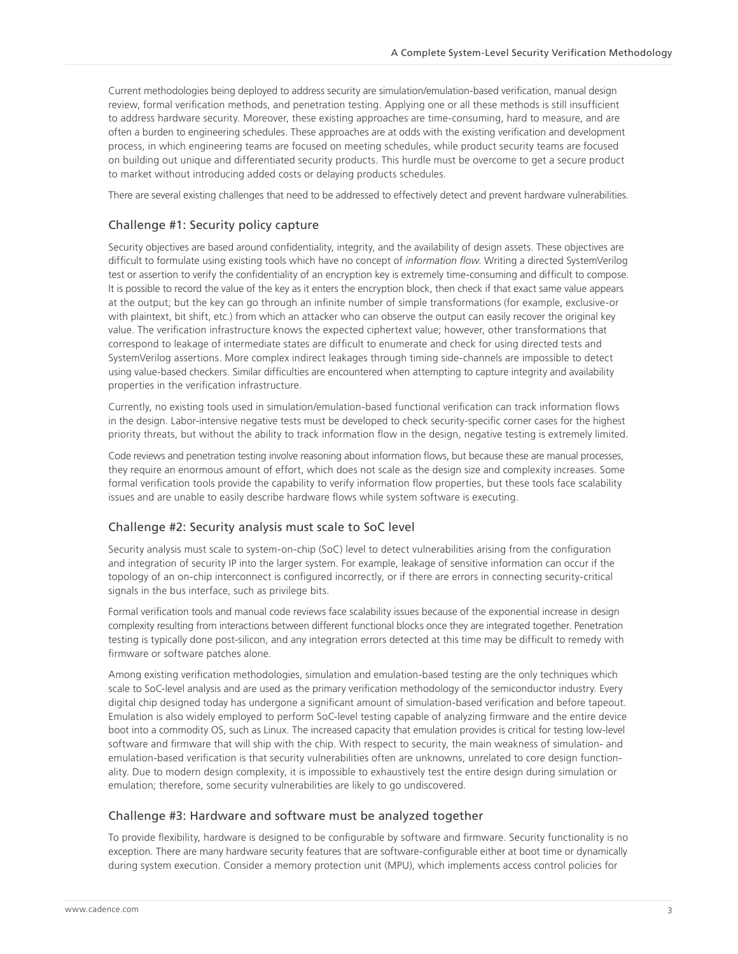Current methodologies being deployed to address security are simulation/emulation-based verification, manual design review, formal verification methods, and penetration testing. Applying one or all these methods is still insufficient to address hardware security. Moreover, these existing approaches are time-consuming, hard to measure, and are often a burden to engineering schedules. These approaches are at odds with the existing verification and development process, in which engineering teams are focused on meeting schedules, while product security teams are focused on building out unique and differentiated security products. This hurdle must be overcome to get a secure product to market without introducing added costs or delaying products schedules.

There are several existing challenges that need to be addressed to effectively detect and prevent hardware vulnerabilities.

#### Challenge #1: Security policy capture

Security objectives are based around confidentiality, integrity, and the availability of design assets. These objectives are difficult to formulate using existing tools which have no concept of *information flow*. Writing a directed SystemVerilog test or assertion to verify the confidentiality of an encryption key is extremely time-consuming and difficult to compose. It is possible to record the value of the key as it enters the encryption block, then check if that exact same value appears at the output; but the key can go through an infinite number of simple transformations (for example, exclusive-or with plaintext, bit shift, etc.) from which an attacker who can observe the output can easily recover the original key value. The verification infrastructure knows the expected ciphertext value; however, other transformations that correspond to leakage of intermediate states are difficult to enumerate and check for using directed tests and SystemVerilog assertions. More complex indirect leakages through timing side-channels are impossible to detect using value-based checkers. Similar difficulties are encountered when attempting to capture integrity and availability properties in the verification infrastructure.

Currently, no existing tools used in simulation/emulation-based functional verification can track information flows in the design. Labor-intensive negative tests must be developed to check security-specific corner cases for the highest priority threats, but without the ability to track information flow in the design, negative testing is extremely limited.

Code reviews and penetration testing involve reasoning about information flows, but because these are manual processes, they require an enormous amount of effort, which does not scale as the design size and complexity increases. Some formal verification tools provide the capability to verify information flow properties, but these tools face scalability issues and are unable to easily describe hardware flows while system software is executing.

#### Challenge #2: Security analysis must scale to SoC level

Security analysis must scale to system-on-chip (SoC) level to detect vulnerabilities arising from the configuration and integration of security IP into the larger system. For example, leakage of sensitive information can occur if the topology of an on-chip interconnect is configured incorrectly, or if there are errors in connecting security-critical signals in the bus interface, such as privilege bits.

Formal verification tools and manual code reviews face scalability issues because of the exponential increase in design complexity resulting from interactions between different functional blocks once they are integrated together. Penetration testing is typically done post-silicon, and any integration errors detected at this time may be difficult to remedy with firmware or software patches alone.

Among existing verification methodologies, simulation and emulation-based testing are the only techniques which scale to SoC-level analysis and are used as the primary verification methodology of the semiconductor industry. Every digital chip designed today has undergone a significant amount of simulation-based verification and before tapeout. Emulation is also widely employed to perform SoC-level testing capable of analyzing firmware and the entire device boot into a commodity OS, such as Linux. The increased capacity that emulation provides is critical for testing low-level software and firmware that will ship with the chip. With respect to security, the main weakness of simulation- and emulation-based verification is that security vulnerabilities often are unknowns, unrelated to core design functionality. Due to modern design complexity, it is impossible to exhaustively test the entire design during simulation or emulation; therefore, some security vulnerabilities are likely to go undiscovered.

#### Challenge #3: Hardware and software must be analyzed together

To provide flexibility, hardware is designed to be configurable by software and firmware. Security functionality is no exception. There are many hardware security features that are software-configurable either at boot time or dynamically during system execution. Consider a memory protection unit (MPU), which implements access control policies for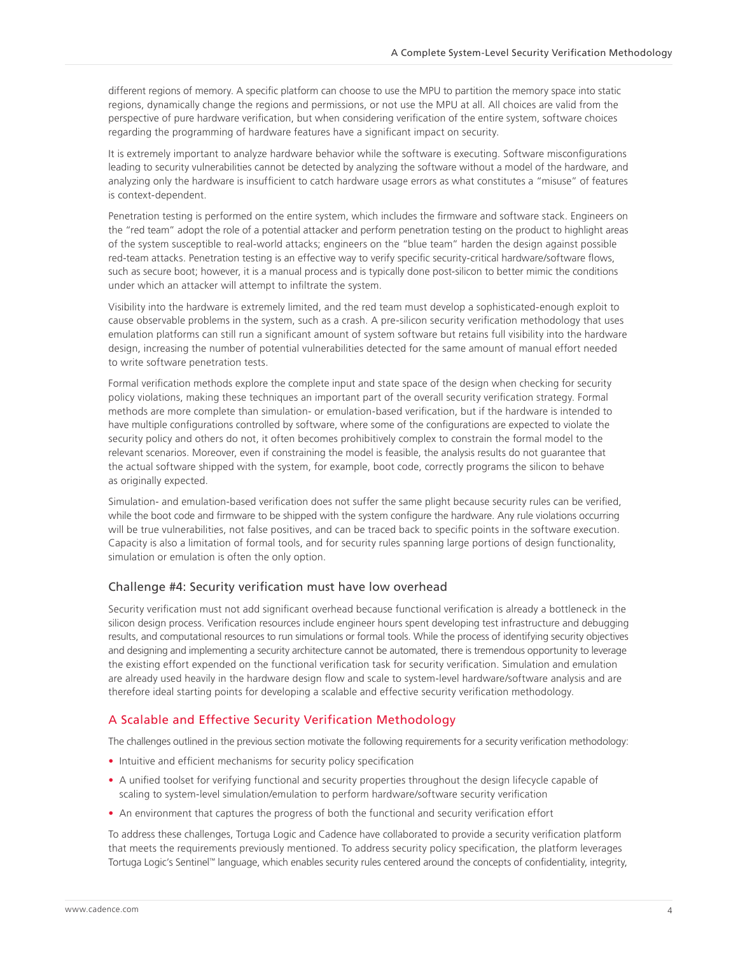<span id="page-3-0"></span>different regions of memory. A specific platform can choose to use the MPU to partition the memory space into static regions, dynamically change the regions and permissions, or not use the MPU at all. All choices are valid from the perspective of pure hardware verification, but when considering verification of the entire system, software choices regarding the programming of hardware features have a significant impact on security.

It is extremely important to analyze hardware behavior while the software is executing. Software misconfigurations leading to security vulnerabilities cannot be detected by analyzing the software without a model of the hardware, and analyzing only the hardware is insufficient to catch hardware usage errors as what constitutes a "misuse" of features is context-dependent.

Penetration testing is performed on the entire system, which includes the firmware and software stack. Engineers on the "red team" adopt the role of a potential attacker and perform penetration testing on the product to highlight areas of the system susceptible to real-world attacks; engineers on the "blue team" harden the design against possible red-team attacks. Penetration testing is an effective way to verify specific security-critical hardware/software flows, such as secure boot; however, it is a manual process and is typically done post-silicon to better mimic the conditions under which an attacker will attempt to infiltrate the system.

Visibility into the hardware is extremely limited, and the red team must develop a sophisticated-enough exploit to cause observable problems in the system, such as a crash. A pre-silicon security verification methodology that uses emulation platforms can still run a significant amount of system software but retains full visibility into the hardware design, increasing the number of potential vulnerabilities detected for the same amount of manual effort needed to write software penetration tests.

Formal verification methods explore the complete input and state space of the design when checking for security policy violations, making these techniques an important part of the overall security verification strategy. Formal methods are more complete than simulation- or emulation-based verification, but if the hardware is intended to have multiple configurations controlled by software, where some of the configurations are expected to violate the security policy and others do not, it often becomes prohibitively complex to constrain the formal model to the relevant scenarios. Moreover, even if constraining the model is feasible, the analysis results do not guarantee that the actual software shipped with the system, for example, boot code, correctly programs the silicon to behave as originally expected.

Simulation- and emulation-based verification does not suffer the same plight because security rules can be verified, while the boot code and firmware to be shipped with the system configure the hardware. Any rule violations occurring will be true vulnerabilities, not false positives, and can be traced back to specific points in the software execution. Capacity is also a limitation of formal tools, and for security rules spanning large portions of design functionality, simulation or emulation is often the only option.

#### Challenge #4: Security verification must have low overhead

Security verification must not add significant overhead because functional verification is already a bottleneck in the silicon design process. Verification resources include engineer hours spent developing test infrastructure and debugging results, and computational resources to run simulations or formal tools. While the process of identifying security objectives and designing and implementing a security architecture cannot be automated, there is tremendous opportunity to leverage the existing effort expended on the functional verification task for security verification. Simulation and emulation are already used heavily in the hardware design flow and scale to system-level hardware/software analysis and are therefore ideal starting points for developing a scalable and effective security verification methodology.

#### A Scalable and Effective Security Verification Methodology

The challenges outlined in the previous section motivate the following requirements for a security verification methodology:

- Intuitive and efficient mechanisms for security policy specification
- A unified toolset for verifying functional and security properties throughout the design lifecycle capable of scaling to system-level simulation/emulation to perform hardware/software security verification
- An environment that captures the progress of both the functional and security verification effort

To address these challenges, Tortuga Logic and Cadence have collaborated to provide a security verification platform that meets the requirements previously mentioned. To address security policy specification, the platform leverages Tortuga Logic's Sentinel™ language, which enables security rules centered around the concepts of confidentiality, integrity,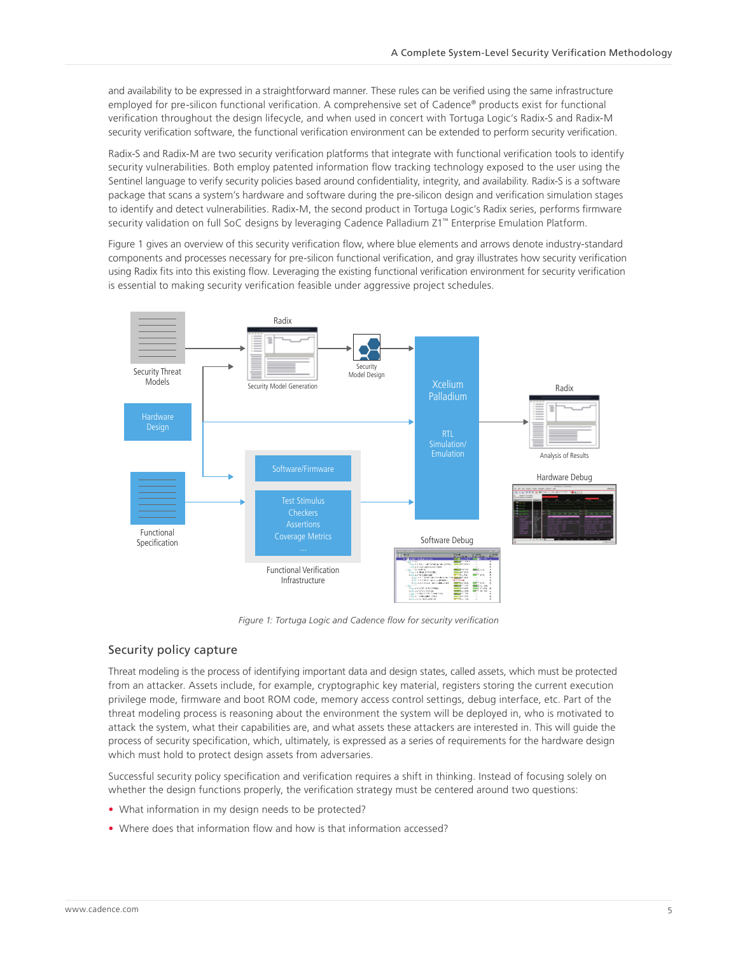and availability to be expressed in a straightforward manner. These rules can be verified using the same infrastructure employed for pre-silicon functional verification. A comprehensive set of Cadence® products exist for functional verification throughout the design lifecycle, and when used in concert with Tortuga Logic's Radix-S and Radix-M security verification software, the functional verification environment can be extended to perform security verification.

Radix-S and Radix-M are two security verification platforms that integrate with functional verification tools to identify security vulnerabilities. Both employ patented information flow tracking technology exposed to the user using the Sentinel language to verify security policies based around confidentiality, integrity, and availability. Radix-S is a software package that scans a system's hardware and software during the pre-silicon design and verification simulation stages to identify and detect vulnerabilities. Radix-M, the second product in Tortuga Logic's Radix series, performs firmware security validation on full SoC designs by leveraging Cadence Palladium Z1™ Enterprise Emulation Platform.

Figure 1 gives an overview of this security verification flow, where blue elements and arrows denote industry-standard components and processes necessary for pre-silicon functional verification, and gray illustrates how security verification using Radix fits into this existing flow. Leveraging the existing functional verification environment for security verification is essential to making security verification feasible under aggressive project schedules.



*Figure 1: Tortuga Logic and Cadence flow for security verification*

#### Security policy capture

Threat modeling is the process of identifying important data and design states, called assets, which must be protected from an attacker. Assets include, for example, cryptographic key material, registers storing the current execution privilege mode, firmware and boot ROM code, memory access control settings, debug interface, etc. Part of the threat modeling process is reasoning about the environment the system will be deployed in, who is motivated to attack the system, what their capabilities are, and what assets these attackers are interested in. This will guide the process of security specification, which, ultimately, is expressed as a series of requirements for the hardware design which must hold to protect design assets from adversaries.

Successful security policy specification and verification requires a shift in thinking. Instead of focusing solely on whether the design functions properly, the verification strategy must be centered around two questions:

- What information in my design needs to be protected?
- Where does that information flow and how is that information accessed?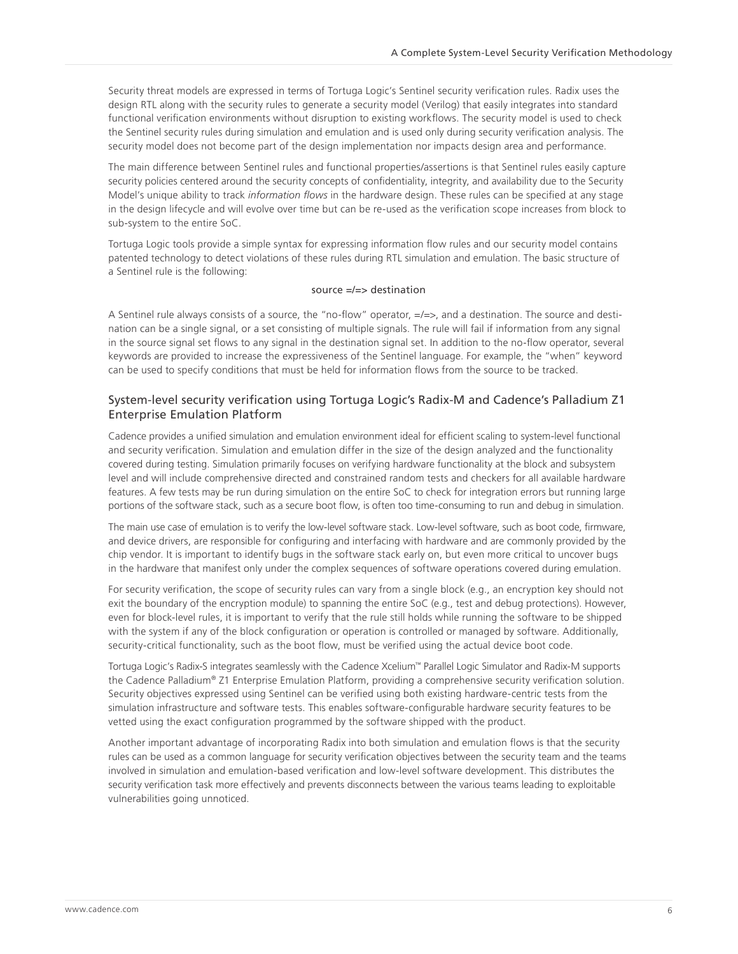Security threat models are expressed in terms of Tortuga Logic's Sentinel security verification rules. Radix uses the design RTL along with the security rules to generate a security model (Verilog) that easily integrates into standard functional verification environments without disruption to existing workflows. The security model is used to check the Sentinel security rules during simulation and emulation and is used only during security verification analysis. The security model does not become part of the design implementation nor impacts design area and performance.

The main difference between Sentinel rules and functional properties/assertions is that Sentinel rules easily capture security policies centered around the security concepts of confidentiality, integrity, and availability due to the Security Model's unique ability to track *information flows* in the hardware design. These rules can be specified at any stage in the design lifecycle and will evolve over time but can be re-used as the verification scope increases from block to sub-system to the entire SoC.

Tortuga Logic tools provide a simple syntax for expressing information flow rules and our security model contains patented technology to detect violations of these rules during RTL simulation and emulation. The basic structure of a Sentinel rule is the following:

#### source =/=> destination

A Sentinel rule always consists of a source, the "no-flow" operator, =/=>, and a destination. The source and destination can be a single signal, or a set consisting of multiple signals. The rule will fail if information from any signal in the source signal set flows to any signal in the destination signal set. In addition to the no-flow operator, several keywords are provided to increase the expressiveness of the Sentinel language. For example, the "when" keyword can be used to specify conditions that must be held for information flows from the source to be tracked.

#### System-level security verification using Tortuga Logic's Radix-M and Cadence's Palladium Z1 Enterprise Emulation Platform

Cadence provides a unified simulation and emulation environment ideal for efficient scaling to system-level functional and security verification. Simulation and emulation differ in the size of the design analyzed and the functionality covered during testing. Simulation primarily focuses on verifying hardware functionality at the block and subsystem level and will include comprehensive directed and constrained random tests and checkers for all available hardware features. A few tests may be run during simulation on the entire SoC to check for integration errors but running large portions of the software stack, such as a secure boot flow, is often too time-consuming to run and debug in simulation.

The main use case of emulation is to verify the low-level software stack. Low-level software, such as boot code, firmware, and device drivers, are responsible for configuring and interfacing with hardware and are commonly provided by the chip vendor. It is important to identify bugs in the software stack early on, but even more critical to uncover bugs in the hardware that manifest only under the complex sequences of software operations covered during emulation.

For security verification, the scope of security rules can vary from a single block (e.g., an encryption key should not exit the boundary of the encryption module) to spanning the entire SoC (e.g., test and debug protections). However, even for block-level rules, it is important to verify that the rule still holds while running the software to be shipped with the system if any of the block configuration or operation is controlled or managed by software. Additionally, security-critical functionality, such as the boot flow, must be verified using the actual device boot code.

Tortuga Logic's Radix-S integrates seamlessly with the Cadence Xcelium™ Parallel Logic Simulator and Radix-M supports the Cadence Palladium® Z1 Enterprise Emulation Platform, providing a comprehensive security verification solution. Security objectives expressed using Sentinel can be verified using both existing hardware-centric tests from the simulation infrastructure and software tests. This enables software-configurable hardware security features to be vetted using the exact configuration programmed by the software shipped with the product.

Another important advantage of incorporating Radix into both simulation and emulation flows is that the security rules can be used as a common language for security verification objectives between the security team and the teams involved in simulation and emulation-based verification and low-level software development. This distributes the security verification task more effectively and prevents disconnects between the various teams leading to exploitable vulnerabilities going unnoticed.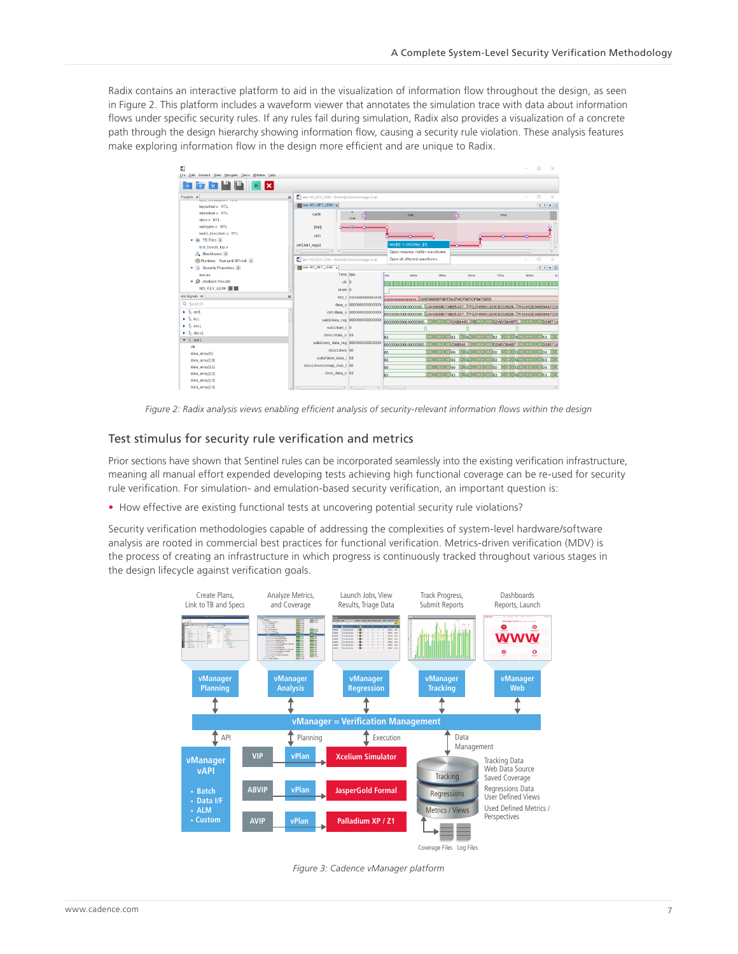Radix contains an interactive platform to aid in the visualization of information flow throughout the design, as seen in Figure 2. This platform includes a waveform viewer that annotates the simulation trace with data about information flows under specific security rules. If any rules fail during simulation, Radix also provides a visualization of a concrete path through the design hierarchy showing information flow, causing a security rule violation. These analysis features make exploring information flow in the design more efficient and are unique to Radix.



*Figure 2: Radix analysis views enabling efficient analysis of security-relevant information flows within the design*

#### Test stimulus for security rule verification and metrics

Prior sections have shown that Sentinel rules can be incorporated seamlessly into the existing verification infrastructure, meaning all manual effort expended developing tests achieving high functional coverage can be re-used for security rule verification. For simulation- and emulation-based security verification, an important question is:

• How effective are existing functional tests at uncovering potential security rule violations?

Security verification methodologies capable of addressing the complexities of system-level hardware/software analysis are rooted in commercial best practices for functional verification. Metrics-driven verification (MDV) is the process of creating an infrastructure in which progress is continuously tracked throughout various stages in the design lifecycle against verification goals.



*Figure 3: Cadence vManager platform*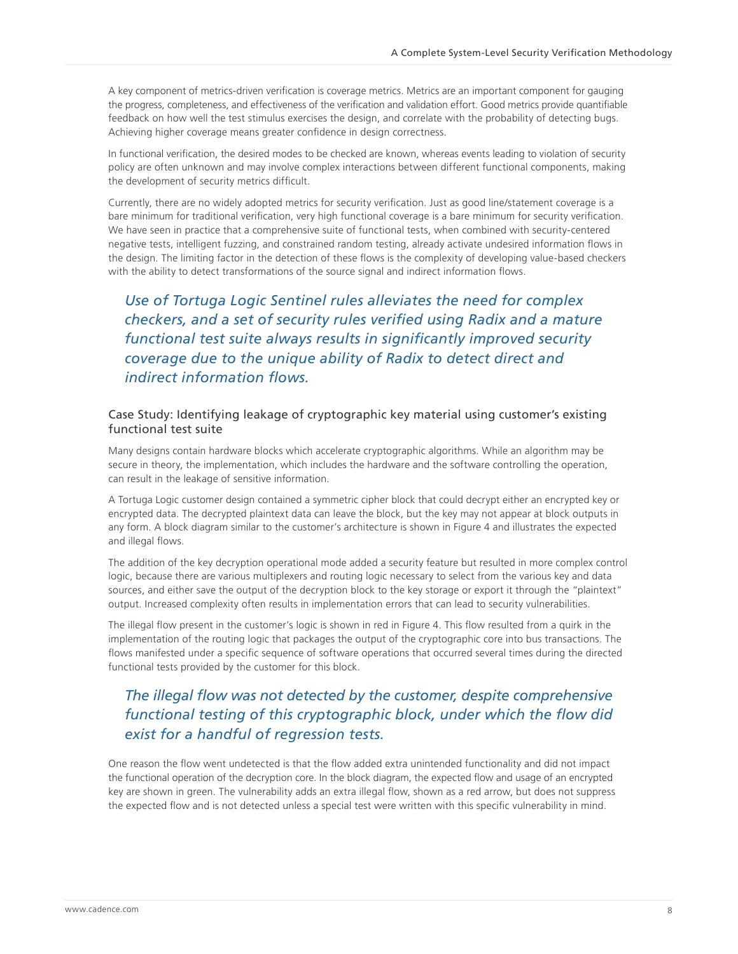A key component of metrics-driven verification is coverage metrics. Metrics are an important component for gauging the progress, completeness, and effectiveness of the verification and validation effort. Good metrics provide quantifiable feedback on how well the test stimulus exercises the design, and correlate with the probability of detecting bugs. Achieving higher coverage means greater confidence in design correctness.

In functional verification, the desired modes to be checked are known, whereas events leading to violation of security policy are often unknown and may involve complex interactions between different functional components, making the development of security metrics difficult.

Currently, there are no widely adopted metrics for security verification. Just as good line/statement coverage is a bare minimum for traditional verification, very high functional coverage is a bare minimum for security verification. We have seen in practice that a comprehensive suite of functional tests, when combined with security-centered negative tests, intelligent fuzzing, and constrained random testing, already activate undesired information flows in the design. The limiting factor in the detection of these flows is the complexity of developing value-based checkers with the ability to detect transformations of the source signal and indirect information flows.

*Use of Tortuga Logic Sentinel rules alleviates the need for complex checkers, and a set of security rules verified using Radix and a mature functional test suite always results in significantly improved security coverage due to the unique ability of Radix to detect direct and indirect information flows.*

#### Case Study: Identifying leakage of cryptographic key material using customer's existing functional test suite

Many designs contain hardware blocks which accelerate cryptographic algorithms. While an algorithm may be secure in theory, the implementation, which includes the hardware and the software controlling the operation, can result in the leakage of sensitive information.

A Tortuga Logic customer design contained a symmetric cipher block that could decrypt either an encrypted key or encrypted data. The decrypted plaintext data can leave the block, but the key may not appear at block outputs in any form. A block diagram similar to the customer's architecture is shown in Figure 4 and illustrates the expected and illegal flows.

The addition of the key decryption operational mode added a security feature but resulted in more complex control logic, because there are various multiplexers and routing logic necessary to select from the various key and data sources, and either save the output of the decryption block to the key storage or export it through the "plaintext" output. Increased complexity often results in implementation errors that can lead to security vulnerabilities.

The illegal flow present in the customer's logic is shown in red in Figure 4. This flow resulted from a quirk in the implementation of the routing logic that packages the output of the cryptographic core into bus transactions. The flows manifested under a specific sequence of software operations that occurred several times during the directed functional tests provided by the customer for this block.

### *The illegal flow was not detected by the customer, despite comprehensive functional testing of this cryptographic block, under which the flow did exist for a handful of regression tests.*

One reason the flow went undetected is that the flow added extra unintended functionality and did not impact the functional operation of the decryption core. In the block diagram, the expected flow and usage of an encrypted key are shown in green. The vulnerability adds an extra illegal flow, shown as a red arrow, but does not suppress the expected flow and is not detected unless a special test were written with this specific vulnerability in mind.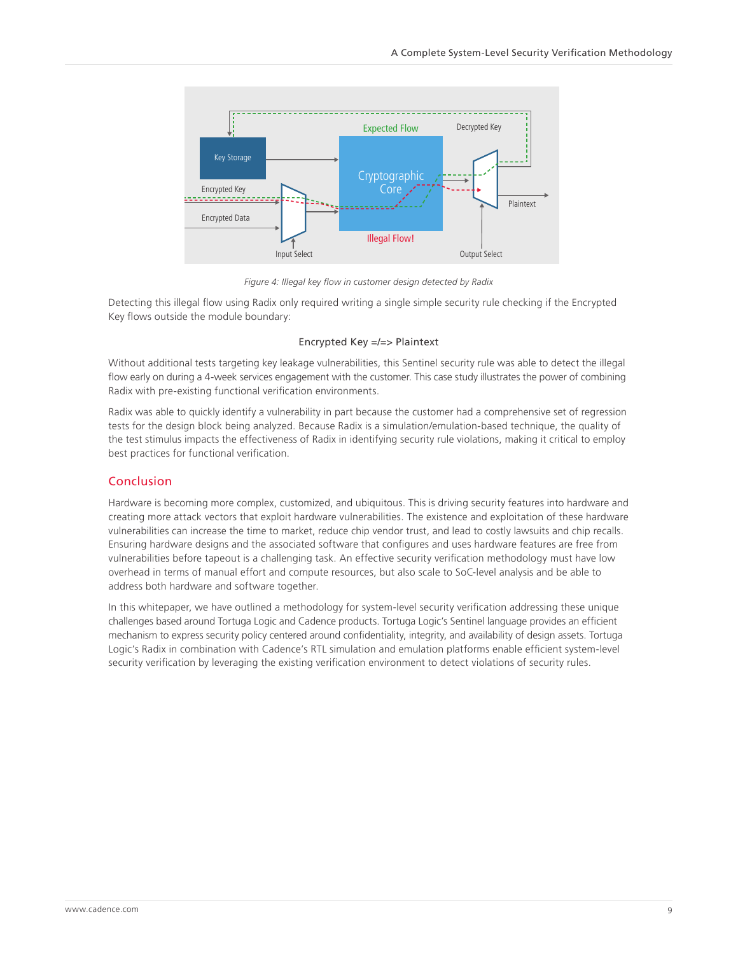<span id="page-8-0"></span>

*Figure 4: Illegal key flow in customer design detected by Radix*

Detecting this illegal flow using Radix only required writing a single simple security rule checking if the Encrypted Key flows outside the module boundary:

#### Encrypted Key =/=> Plaintext

Without additional tests targeting key leakage vulnerabilities, this Sentinel security rule was able to detect the illegal flow early on during a 4-week services engagement with the customer. This case study illustrates the power of combining Radix with pre-existing functional verification environments.

Radix was able to quickly identify a vulnerability in part because the customer had a comprehensive set of regression tests for the design block being analyzed. Because Radix is a simulation/emulation-based technique, the quality of the test stimulus impacts the effectiveness of Radix in identifying security rule violations, making it critical to employ best practices for functional verification.

#### Conclusion

Hardware is becoming more complex, customized, and ubiquitous. This is driving security features into hardware and creating more attack vectors that exploit hardware vulnerabilities. The existence and exploitation of these hardware vulnerabilities can increase the time to market, reduce chip vendor trust, and lead to costly lawsuits and chip recalls. Ensuring hardware designs and the associated software that configures and uses hardware features are free from vulnerabilities before tapeout is a challenging task. An effective security verification methodology must have low overhead in terms of manual effort and compute resources, but also scale to SoC-level analysis and be able to address both hardware and software together.

In this whitepaper, we have outlined a methodology for system-level security verification addressing these unique challenges based around Tortuga Logic and Cadence products. Tortuga Logic's Sentinel language provides an efficient mechanism to express security policy centered around confidentiality, integrity, and availability of design assets. Tortuga Logic's Radix in combination with Cadence's RTL simulation and emulation platforms enable efficient system-level security verification by leveraging the existing verification environment to detect violations of security rules.